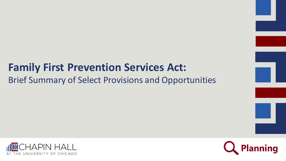#### **Family First Prevention Services Act:** Brief Summary of Select Provisions and Opportunities



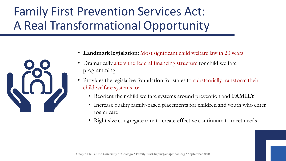# Family First Prevention Services Act: A Real Transformational Opportunity



- Landmark legislation: Most significant child welfare law in 20 years
- Dramatically alters the federal financing structure for child welfare programming
- Provides the legislative foundation for states to substantially transform their child welfare systems to:
	- Reorient their child welfare systems around prevention and **FAMILY**
	- Increase quality family-based placements for children and youth who enter foster care
	- Right size congregate care to create effective continuum to meet needs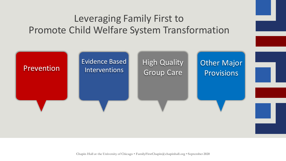#### Leveraging Family First to Promote Child Welfare System Transformation

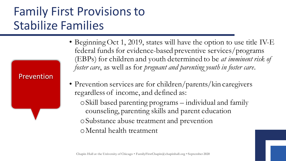### Family First Provisions to Stabilize Families

Prevention

#### • Beginning Oct 1, 2019, states will have the option to use title IV-E federal funds for evidence-based preventive services/programs (EBPs) for children and youth determined to be *at imminent risk of foster care*, as well as for *pregnant and parenting youth in foster care*.

• Prevention services are for children/parents/kin caregivers regardless of income, and defined as:

oSkill based parenting programs – individual and family counseling, parenting skills and parent education oSubstance abuse treatment and prevention oMental health treatment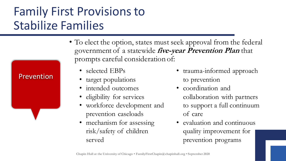## Family First Provisions to Stabilize Families

Prevention

- To elect the option, states must seek approval from the federal government of a statewide **five-year Prevention Plan** that prompts careful consideration of:
	- selected EBPs
	- target populations
	- intended outcomes
	- eligibility for services
	- workforce development and prevention caseloads
	- mechanism for assessing risk/safety of children served
- trauma-informed approach to prevention
- coordination and collaboration with partners to support a full continuum of care
- evaluation and continuous quality improvement for prevention programs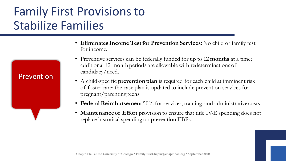#### Family First Provisions to Stabilize Families

Prevention

• **Eliminates Income Test for Prevention Services:** No child or family test for income.

- Preventive services can be federally funded for up to **12 months** at a time; additional 12-month periods are allowable with redeterminations of candidacy/need.
- A child-specific **prevention plan** is required for each child at imminent risk of foster care; the case plan is updated to include prevention services for pregnant/parenting teens
- **Federal Reimbursement** 50% for services, training, and administrative costs
- **Maintenance of Effort** provision to ensure that title IV-E spending does not replace historical spending on prevention EBPs.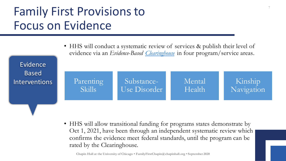## Family First Provisions to Focus on Evidence

| Evidence                             | • HHS will conduct a systematic review of services & publish their level of<br>evidence via an Evidence-Based Clearinghouse in four program/service areas. |                            |                  |                       |  |
|--------------------------------------|------------------------------------------------------------------------------------------------------------------------------------------------------------|----------------------------|------------------|-----------------------|--|
| <b>Based</b><br><b>Interventions</b> | Parenting<br>Skills                                                                                                                                        | Substance-<br>Use Disorder | Mental<br>Health | Kinship<br>Navigation |  |
|                                      |                                                                                                                                                            |                            |                  |                       |  |

• HHS will allow transitional funding for programs states demonstrate by Oct 1, 2021, have been through an independent systematic review which confirms the evidence meet federal standards, until the program can be rated by the Clearinghouse.

**Chapin Hall at the University of Chicago • FamilyFirstChapin@chapinhall.org • September 2020**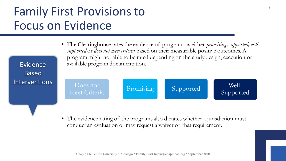## Family First Provisions to Focus on Evidence

Evidence

Based

• The Clearinghouse rates the evidence of programs as either *promising, supported, wellsupported* or *does not meet criteria* based on their measurable positive outcomes. A program might not able to be rated depending on the study design, execution or available program documentation.



• The evidence rating of the programs also dictates whether a jurisdiction must conduct an evaluation or may request a waiver of that requirement.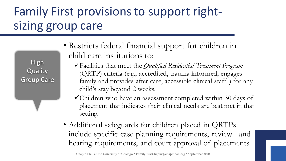## Family First provisions to support rightsizing group care

High **Quality** Group Care

- Restricts federal financial support for children in child care institutions to:
	- ✓Facilities that meet the *Qualified Residential Treatment Program*  (QRTP) criteria (e.g., accredited, trauma informed, engages family and provides after care, accessible clinical staff ) for any child's stay beyond 2 weeks.
	- ✓Children who have an assessment completed within 30 days of placement that indicates their clinical needs are best met in that setting.
- Additional safeguards for children placed in QRTPs include specific case planning requirements, review and hearing requirements, and court approval of placements.

**Chapin Hall at the University of Chicago • FamilyFirstChapin@chapinhall.org • September 2020**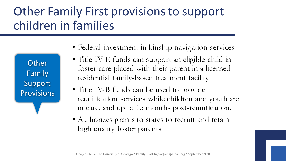#### Other Family First provisions to support children in families

**Other** Family Support **Provisions** 

- Federal investment in kinship navigation services
- Title IV-E funds can support an eligible child in foster care placed with their parent in a licensed residential family-based treatment facility
- Title IV-B funds can be used to provide reunification services while children and youth are in care, and up to 15 months post-reunification.
- Authorizes grants to states to recruit and retain high quality foster parents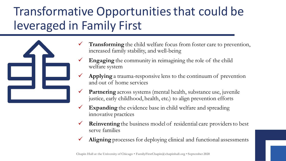## Transformative Opportunities that could be leveraged in Family First



- Transforming the child welfare focus from foster care to prevention, increased family stability, and well-being
- **Engaging** the community in reimagining the role of the child welfare system
- Applying a trauma-responsive lens to the continuum of prevention and out of home services
- ✓ **Partnering** across systems (mental health, substance use, juvenile justice, early childhood, health, etc.) to align prevention efforts
- ✓ **Expanding** the evidence base in child welfare and spreading innovative practices
- ✓ **Reinventing**the business model of residential care providers to best serve families
- Aligning processes for deploying clinical and functional assessments